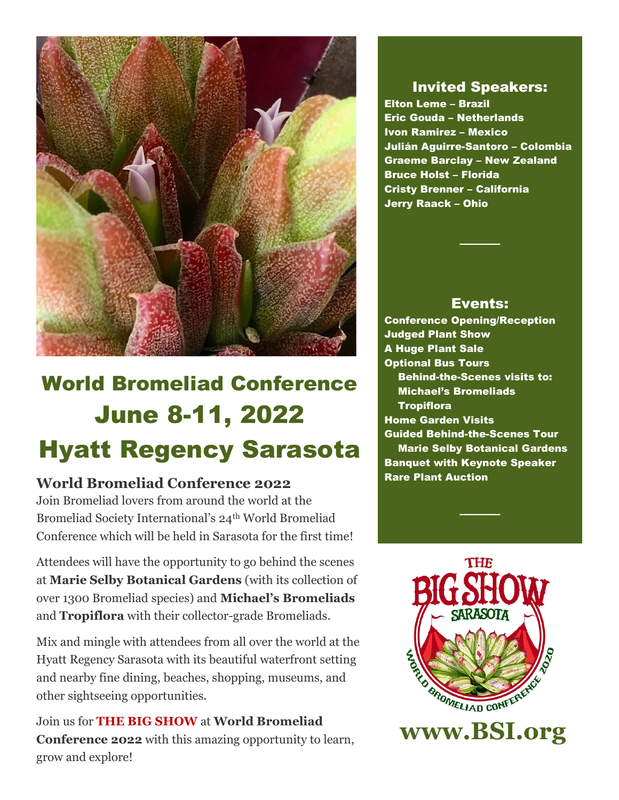

# World Bromeliad Conference June 8-11, 2022 Hyatt Regency Sarasota

# **World Bromeliad Conference 2022**

Join Bromeliad lovers from around the world at the Bromeliad Society International's 24<sup>th</sup> World Bromeliad Conference which will be held in Sarasota for the first time!

Attendees will have the opportunity to go behind the scenes at **Marie Selby Botanical Gardens** (with its collection of over 1300 Bromeliad species) and **Michael's Bromeliads** and **Tropiflora** with their collector-grade Bromeliads.

Mix and mingle with attendees from all over the world at the Hyatt Regency Sarasota with its beautiful waterfront setting and nearby fine dining, beaches, shopping, museums, and other sightseeing opportunities.

Join us for **THE BIG SHOW** at **World Bromeliad Conference 2022** with this amazing opportunity to learn, grow and explore!

# Invited Speakers:

 Elton Leme – Brazil Eric Gouda – Netherlands Ivon Ramirez – Mexico Julián Aguirre-Santoro – Colombia Graeme Barclay – New Zealand Bruce Holst – Florida Cristy Brenner – California Jerry Raack – Ohio

## Events:

────

 Conference Opening/Reception Judged Plant Show A Huge Plant Sale Optional Bus Tours Behind-the-Scenes visits to: Michael's Bromeliads **Tropiflora**  Home Garden Visits Guided Behind-the-Scenes Tour Marie Selby Botanical Gardens Banquet with Keynote Speaker Rare Plant Auction



────